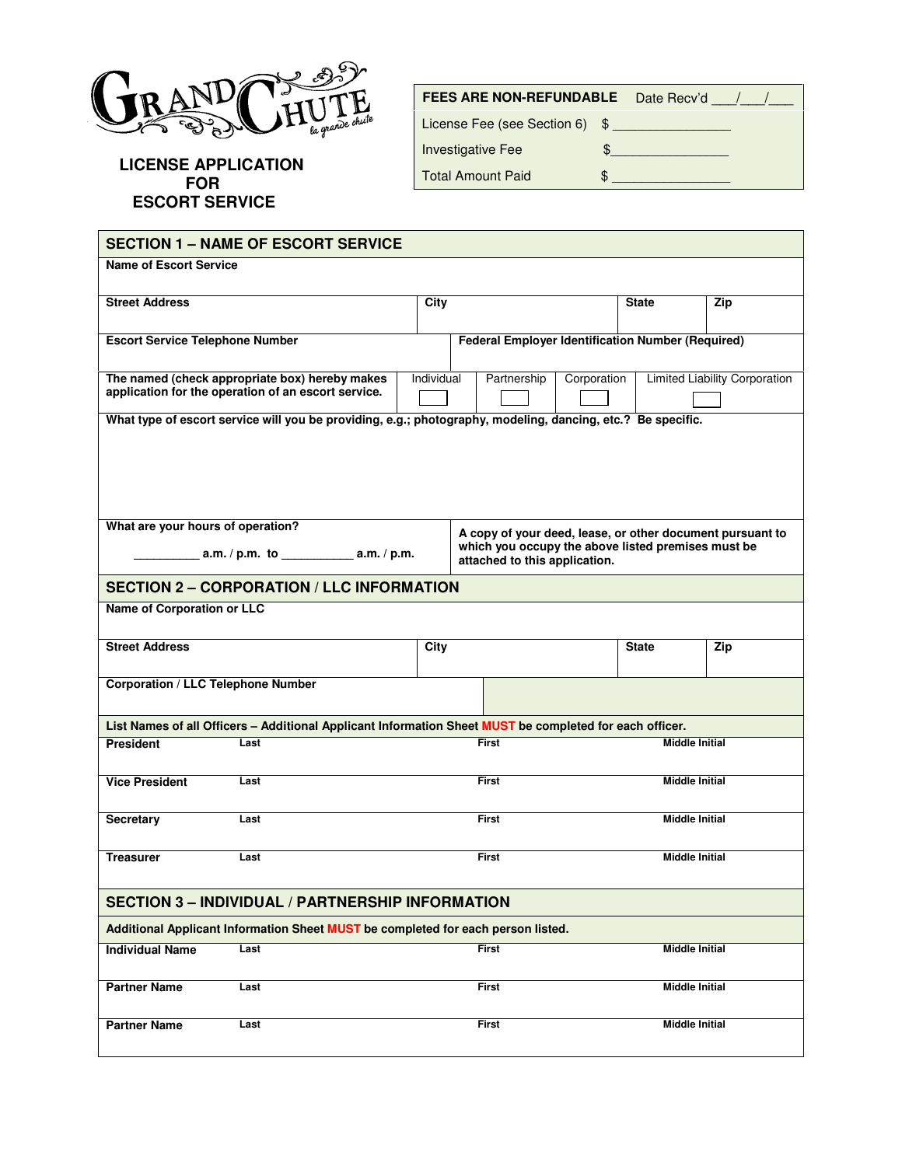

**LICENSE APPLICATION FOR ESCORT SERVICE** 

| <b>FEES ARE NON-REFUNDABLE</b> |  | Date Recv'd / / |
|--------------------------------|--|-----------------|
| License Fee (see Section 6) \$ |  |                 |
| <b>Investigative Fee</b>       |  |                 |
| <b>Total Amount Paid</b>       |  |                 |
|                                |  |                 |

| <b>SECTION 1 – NAME OF ESCORT SERVICE</b>                                                                                                                                             |                                                                                                             |                                                          |                                                                                  |  |  |                       |     |  |
|---------------------------------------------------------------------------------------------------------------------------------------------------------------------------------------|-------------------------------------------------------------------------------------------------------------|----------------------------------------------------------|----------------------------------------------------------------------------------|--|--|-----------------------|-----|--|
| <b>Name of Escort Service</b>                                                                                                                                                         |                                                                                                             |                                                          |                                                                                  |  |  |                       |     |  |
|                                                                                                                                                                                       |                                                                                                             |                                                          |                                                                                  |  |  |                       |     |  |
| <b>Street Address</b>                                                                                                                                                                 |                                                                                                             | <b>City</b>                                              |                                                                                  |  |  | <b>State</b>          | Zip |  |
| <b>Escort Service Telephone Number</b>                                                                                                                                                |                                                                                                             | <b>Federal Employer Identification Number (Required)</b> |                                                                                  |  |  |                       |     |  |
|                                                                                                                                                                                       | The named (check appropriate box) hereby makes<br>application for the operation of an escort service.       |                                                          | Individual<br><b>Limited Liability Corporation</b><br>Partnership<br>Corporation |  |  |                       |     |  |
|                                                                                                                                                                                       | What type of escort service will you be providing, e.g.; photography, modeling, dancing, etc.? Be specific. |                                                          |                                                                                  |  |  |                       |     |  |
|                                                                                                                                                                                       |                                                                                                             |                                                          |                                                                                  |  |  |                       |     |  |
| What are your hours of operation?<br>A copy of your deed, lease, or other document pursuant to<br>which you occupy the above listed premises must be<br>attached to this application. |                                                                                                             |                                                          |                                                                                  |  |  |                       |     |  |
| <b>SECTION 2 - CORPORATION / LLC INFORMATION</b>                                                                                                                                      |                                                                                                             |                                                          |                                                                                  |  |  |                       |     |  |
| <b>Name of Corporation or LLC</b>                                                                                                                                                     |                                                                                                             |                                                          |                                                                                  |  |  |                       |     |  |
|                                                                                                                                                                                       |                                                                                                             |                                                          |                                                                                  |  |  |                       |     |  |
| <b>Street Address</b>                                                                                                                                                                 |                                                                                                             | City                                                     |                                                                                  |  |  | <b>State</b>          | Zip |  |
| <b>Corporation / LLC Telephone Number</b>                                                                                                                                             |                                                                                                             |                                                          |                                                                                  |  |  |                       |     |  |
| List Names of all Officers - Additional Applicant Information Sheet MUST be completed for each officer.                                                                               |                                                                                                             |                                                          |                                                                                  |  |  |                       |     |  |
| <b>President</b>                                                                                                                                                                      | Last                                                                                                        | <b>First</b>                                             |                                                                                  |  |  | <b>Middle Initial</b> |     |  |
| <b>Vice President</b>                                                                                                                                                                 | Last                                                                                                        | <b>First</b>                                             |                                                                                  |  |  | <b>Middle Initial</b> |     |  |
| Secretary                                                                                                                                                                             | Last                                                                                                        | <b>First</b>                                             |                                                                                  |  |  | <b>Middle Initial</b> |     |  |
| <b>Treasurer</b>                                                                                                                                                                      | Last                                                                                                        | <b>First</b>                                             |                                                                                  |  |  | <b>Middle Initial</b> |     |  |
| <b>SECTION 3 - INDIVIDUAL / PARTNERSHIP INFORMATION</b>                                                                                                                               |                                                                                                             |                                                          |                                                                                  |  |  |                       |     |  |
| Additional Applicant Information Sheet MUST be completed for each person listed.                                                                                                      |                                                                                                             |                                                          |                                                                                  |  |  |                       |     |  |
| <b>Individual Name</b>                                                                                                                                                                | Last                                                                                                        | First<br><b>Middle Initial</b>                           |                                                                                  |  |  |                       |     |  |
| <b>Partner Name</b>                                                                                                                                                                   | Last                                                                                                        |                                                          | First                                                                            |  |  | <b>Middle Initial</b> |     |  |
| <b>Partner Name</b>                                                                                                                                                                   | Last                                                                                                        |                                                          | <b>First</b>                                                                     |  |  | <b>Middle Initial</b> |     |  |